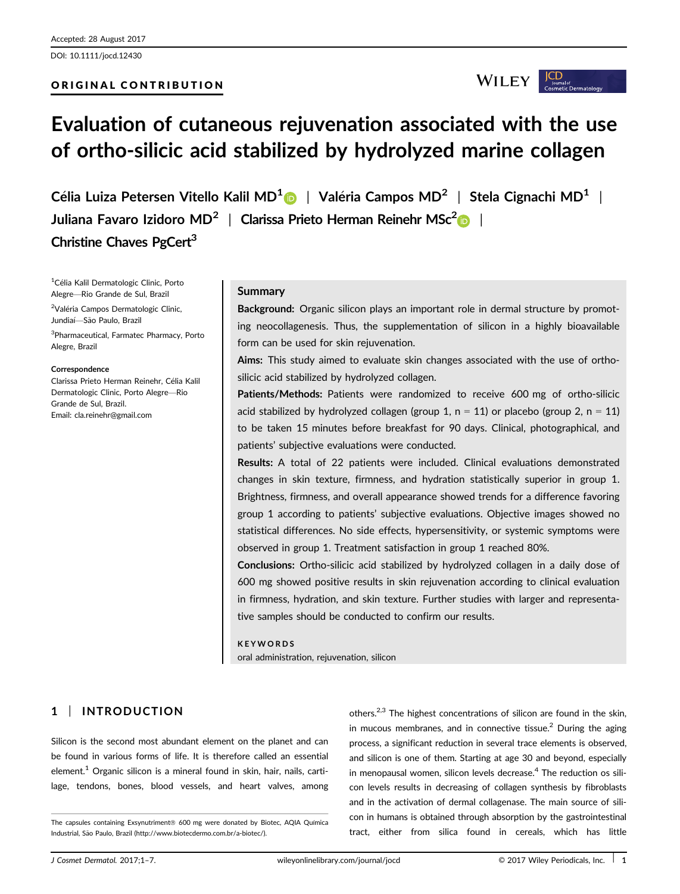DOI: 10.1111/jocd.12430

## ORIGINAL CONTRIBUTION

**WILEY** 

# Evaluation of cutaneous rejuvenation associated with the use of ortho-silicic acid stabilized by hydrolyzed marine collagen

Célia Luiza Petersen Vitello Kalil MD<sup>1</sup>  $\triangleright$  | Valéria Campos MD<sup>2</sup> | Stela Cignachi MD<sup>1</sup> | Juliana Favaro Izidoro MD<sup>[2](http://orcid.org/0000-0003-1811-4519)</sup> | Clarissa Prieto Herman Reinehr MSc<sup>2</sup> | Christine Chaves PgCert<sup>3</sup>

<sup>1</sup>Célia Kalil Dermatologic Clinic, Porto Alegre—Rio Grande de Sul, Brazil

<sup>2</sup>Valéria Campos Dermatologic Clinic, Jundiaí-São Paulo, Brazil

3 Pharmaceutical, Farmatec Pharmacy, Porto Alegre, Brazil

#### Correspondence

Clarissa Prieto Herman Reinehr, Celia Kalil Dermatologic Clinic, Porto Alegre—Rio Grande de Sul, Brazil. Email: cla.reinehr@gmail.com

#### **Summary**

Background: Organic silicon plays an important role in dermal structure by promoting neocollagenesis. Thus, the supplementation of silicon in a highly bioavailable form can be used for skin rejuvenation.

Aims: This study aimed to evaluate skin changes associated with the use of orthosilicic acid stabilized by hydrolyzed collagen.

Patients/Methods: Patients were randomized to receive 600 mg of ortho-silicic acid stabilized by hydrolyzed collagen (group 1,  $n = 11$ ) or placebo (group 2,  $n = 11$ ) to be taken 15 minutes before breakfast for 90 days. Clinical, photographical, and patients' subjective evaluations were conducted.

Results: A total of 22 patients were included. Clinical evaluations demonstrated changes in skin texture, firmness, and hydration statistically superior in group 1. Brightness, firmness, and overall appearance showed trends for a difference favoring group 1 according to patients' subjective evaluations. Objective images showed no statistical differences. No side effects, hypersensitivity, or systemic symptoms were observed in group 1. Treatment satisfaction in group 1 reached 80%.

Conclusions: Ortho-silicic acid stabilized by hydrolyzed collagen in a daily dose of 600 mg showed positive results in skin rejuvenation according to clinical evaluation in firmness, hydration, and skin texture. Further studies with larger and representative samples should be conducted to confirm our results.

#### **KEYWORDS**

oral administration, rejuvenation, silicon

# 1 | INTRODUCTION

Silicon is the second most abundant element on the planet and can be found in various forms of life. It is therefore called an essential element.<sup>1</sup> Organic silicon is a mineral found in skin, hair, nails, cartilage, tendons, bones, blood vessels, and heart valves, among

others.2,3 The highest concentrations of silicon are found in the skin, in mucous membranes, and in connective tissue. $<sup>2</sup>$  During the aging</sup> process, a significant reduction in several trace elements is observed, and silicon is one of them. Starting at age 30 and beyond, especially in menopausal women, silicon levels decrease.<sup>4</sup> The reduction os silicon levels results in decreasing of collagen synthesis by fibroblasts and in the activation of dermal collagenase. The main source of silicon in humans is obtained through absorption by the gastrointestinal tract, either from silica found in cereals, which has little

The capsules containing Exsynutriment® 600 mg were donated by Biotec, AQIA Química Industrial, São Paulo, Brazil [\(http://www.biotecdermo.com.br/a-biotec/\)](http://www.biotecdermo.com.br/a-biotec/).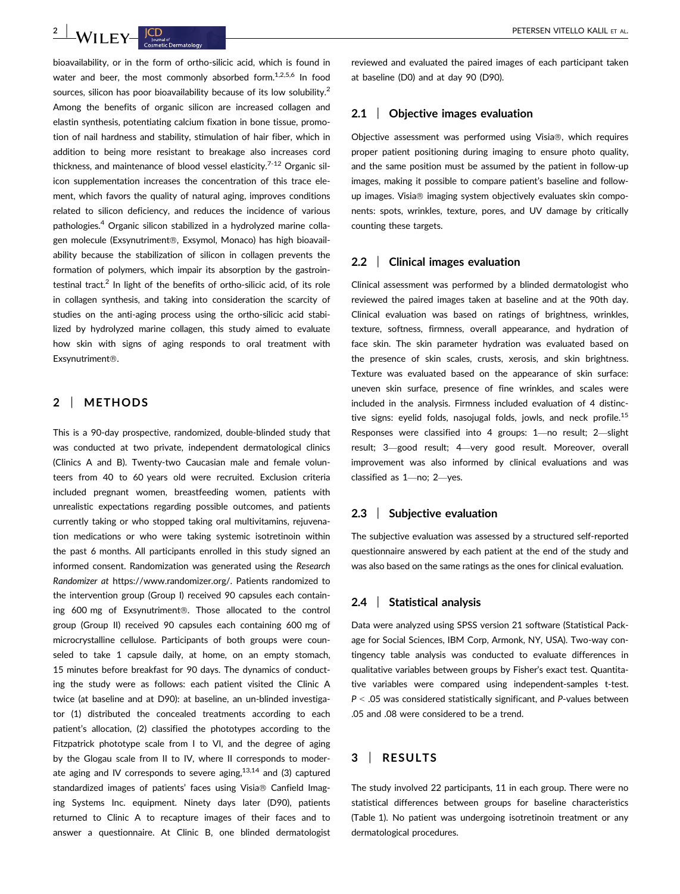bioavailability, or in the form of ortho-silicic acid, which is found in water and beer, the most commonly absorbed form.<sup>1,2,5,6</sup> In food sources, silicon has poor bioavailability because of its low solubility.<sup>2</sup> Among the benefits of organic silicon are increased collagen and elastin synthesis, potentiating calcium fixation in bone tissue, promotion of nail hardness and stability, stimulation of hair fiber, which in addition to being more resistant to breakage also increases cord thickness, and maintenance of blood vessel elasticity.<sup>7-12</sup> Organic silicon supplementation increases the concentration of this trace element, which favors the quality of natural aging, improves conditions related to silicon deficiency, and reduces the incidence of various pathologies.4 Organic silicon stabilized in a hydrolyzed marine collagen molecule (Exsynutriment®, Exsymol, Monaco) has high bioavailability because the stabilization of silicon in collagen prevents the formation of polymers, which impair its absorption by the gastrointestinal tract.<sup>2</sup> In light of the benefits of ortho-silicic acid, of its role in collagen synthesis, and taking into consideration the scarcity of studies on the anti-aging process using the ortho-silicic acid stabilized by hydrolyzed marine collagen, this study aimed to evaluate how skin with signs of aging responds to oral treatment with Exsynutriment<sup>®</sup>.

## 2 | METHODS

This is a 90-day prospective, randomized, double-blinded study that was conducted at two private, independent dermatological clinics (Clinics A and B). Twenty-two Caucasian male and female volunteers from 40 to 60 years old were recruited. Exclusion criteria included pregnant women, breastfeeding women, patients with unrealistic expectations regarding possible outcomes, and patients currently taking or who stopped taking oral multivitamins, rejuvenation medications or who were taking systemic isotretinoin within the past 6 months. All participants enrolled in this study signed an informed consent. Randomization was generated using the Research Randomizer at [https://www.randomizer.org/.](https://www.randomizer.org/) Patients randomized to the intervention group (Group I) received 90 capsules each containing 600 mg of Exsynutriment®. Those allocated to the control group (Group II) received 90 capsules each containing 600 mg of microcrystalline cellulose. Participants of both groups were counseled to take 1 capsule daily, at home, on an empty stomach, 15 minutes before breakfast for 90 days. The dynamics of conducting the study were as follows: each patient visited the Clinic A twice (at baseline and at D90): at baseline, an un-blinded investigator (1) distributed the concealed treatments according to each patient's allocation, (2) classified the phototypes according to the Fitzpatrick phototype scale from I to VI, and the degree of aging by the Glogau scale from II to IV, where II corresponds to moderate aging and IV corresponds to severe aging, $13,14$  and (3) captured standardized images of patients' faces using Visia® Canfield Imaging Systems Inc. equipment. Ninety days later (D90), patients returned to Clinic A to recapture images of their faces and to answer a questionnaire. At Clinic B, one blinded dermatologist reviewed and evaluated the paired images of each participant taken at baseline (D0) and at day 90 (D90).

### 2.1 | Objective images evaluation

Objective assessment was performed using Visia®, which requires proper patient positioning during imaging to ensure photo quality, and the same position must be assumed by the patient in follow-up images, making it possible to compare patient's baseline and followup images. Visia® imaging system objectively evaluates skin components: spots, wrinkles, texture, pores, and UV damage by critically counting these targets.

#### 2.2 | Clinical images evaluation

Clinical assessment was performed by a blinded dermatologist who reviewed the paired images taken at baseline and at the 90th day. Clinical evaluation was based on ratings of brightness, wrinkles, texture, softness, firmness, overall appearance, and hydration of face skin. The skin parameter hydration was evaluated based on the presence of skin scales, crusts, xerosis, and skin brightness. Texture was evaluated based on the appearance of skin surface: uneven skin surface, presence of fine wrinkles, and scales were included in the analysis. Firmness included evaluation of 4 distinctive signs: eyelid folds, nasojugal folds, jowls, and neck profile.<sup>15</sup> Responses were classified into 4 groups: 1—no result; 2—slight result; 3—good result; 4—very good result. Moreover, overall improvement was also informed by clinical evaluations and was classified as 1—no; 2—yes.

#### 2.3 | Subjective evaluation

The subjective evaluation was assessed by a structured self-reported questionnaire answered by each patient at the end of the study and was also based on the same ratings as the ones for clinical evaluation.

## 2.4 | Statistical analysis

Data were analyzed using SPSS version 21 software (Statistical Package for Social Sciences, IBM Corp, Armonk, NY, USA). Two-way contingency table analysis was conducted to evaluate differences in qualitative variables between groups by Fisher's exact test. Quantitative variables were compared using independent-samples t-test.  $P < .05$  was considered statistically significant, and P-values between .05 and .08 were considered to be a trend.

## 3 | RESULTS

The study involved 22 participants, 11 in each group. There were no statistical differences between groups for baseline characteristics (Table 1). No patient was undergoing isotretinoin treatment or any dermatological procedures.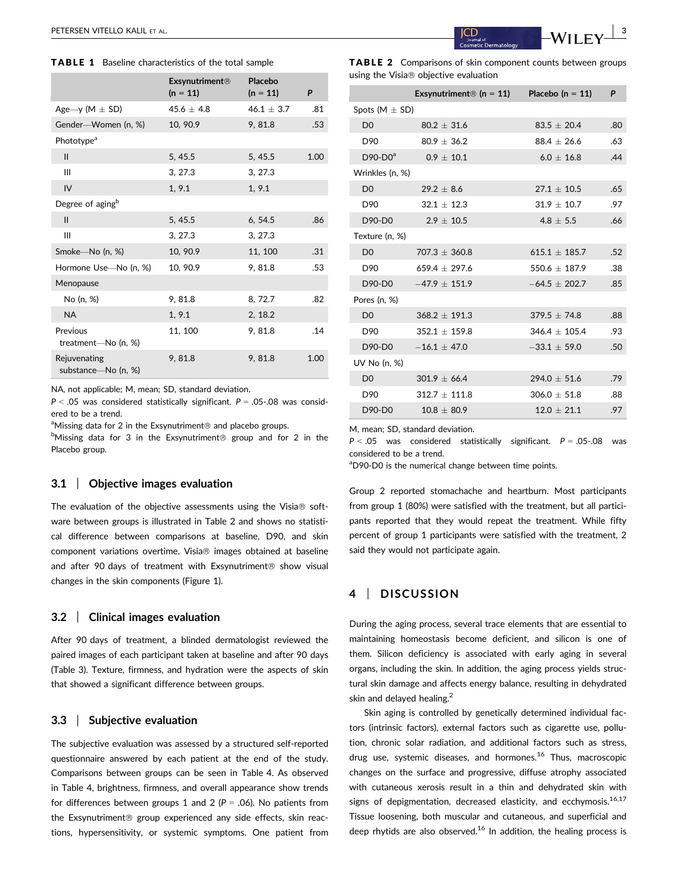#### TABLE 1 Baseline characteristics of the total sample

|                                     | <b>Exsynutriment®</b><br>$(n = 11)$ | Placebo<br>$(n = 11)$ | P    |
|-------------------------------------|-------------------------------------|-----------------------|------|
| Age—y (M $\pm$ SD)                  | 45.6 $\pm$ 4.8                      | $46.1 \pm 3.7$        | .81  |
| Gender-Women (n, %)                 | 10, 90.9                            | 9,81.8                | .53  |
| Phototype <sup>a</sup>              |                                     |                       |      |
| $\mathbf{II}$                       | 5, 45.5                             | 5, 45.5               | 1.00 |
| III                                 | 3, 27.3                             | 3, 27.3               |      |
| IV                                  | 1, 9.1                              | 1, 9.1                |      |
| Degree of aging <sup>b</sup>        |                                     |                       |      |
| $\mathbf{II}$                       | 5, 45.5                             | 6, 54.5               | .86  |
| Ш                                   | 3, 27.3                             | 3, 27.3               |      |
| Smoke-No (n, %)                     | 10, 90.9                            | 11, 100               | .31  |
| Hormone Use-No (n, %)               | 10, 90.9                            | 9,81.8                | .53  |
| Menopause                           |                                     |                       |      |
| No (n, %)                           | 9,81.8                              | 8, 72.7               | .82  |
| <b>NA</b>                           | 1, 9.1                              | 2, 18.2               |      |
| Previous<br>treatment-No (n, %)     | 11, 100                             | 9, 81.8               | .14  |
| Rejuvenating<br>substance-No (n, %) | 9,81.8                              | 9.81.8                | 1.00 |

NA, not applicable; M, mean; SD, standard deviation.

 $P < .05$  was considered statistically significant.  $P = .05-.08$  was considered to be a trend.

aMissing data for 2 in the Exsynutriment<sup>®</sup> and placebo groups.

<sup>b</sup>Missing data for 3 in the Exsynutriment<sup>®</sup> group and for 2 in the Placebo group.

#### 3.1 | Objective images evaluation

The evaluation of the objective assessments using the Visia $\circledast$  software between groups is illustrated in Table 2 and shows no statistical difference between comparisons at baseline, D90, and skin component variations overtime. Visia® images obtained at baseline and after 90 days of treatment with Exsynutriment® show visual changes in the skin components (Figure 1).

#### 3.2 | Clinical images evaluation

After 90 days of treatment, a blinded dermatologist reviewed the paired images of each participant taken at baseline and after 90 days (Table 3). Texture, firmness, and hydration were the aspects of skin that showed a significant difference between groups.

#### 3.3 | Subjective evaluation

The subjective evaluation was assessed by a structured self-reported questionnaire answered by each patient at the end of the study. Comparisons between groups can be seen in Table 4. As observed in Table 4, brightness, firmness, and overall appearance show trends for differences between groups 1 and 2 ( $P = .06$ ). No patients from the Exsynutriment® group experienced any side effects, skin reactions, hypersensitivity, or systemic symptoms. One patient from

TABLE 2 Comparisons of skin component counts between groups using the Visia<sup>®</sup> objective evaluation

|                      |                   | Exsynutriment <sup>®</sup> $(n = 11)$ Placebo $(n = 11)$ | P   |
|----------------------|-------------------|----------------------------------------------------------|-----|
| Spots ( $M \pm SD$ ) |                   |                                                          |     |
| D <sub>0</sub>       | $80.2 \pm 31.6$   | $83.5 \pm 20.4$                                          | .80 |
| D90                  | $80.9 + 36.2$     | $88.4 + 26.6$                                            | .63 |
| $D90-DOa$            | $0.9\,\pm\,10.1$  | $6.0 \pm 16.8$                                           | .44 |
| Wrinkles (n, %)      |                   |                                                          |     |
| D <sub>0</sub>       | $29.2 + 8.6$      | $27.1 \pm 10.5$                                          | .65 |
| D90                  | $32.1 + 12.3$     | $31.9 + 10.7$                                            | .97 |
| D90-D0               | $2.9 \pm 10.5$    | $4.8 + 5.5$                                              | .66 |
| Texture (n, %)       |                   |                                                          |     |
| D <sub>0</sub>       | $707.3 \pm 360.8$ | $615.1 \pm 185.7$                                        | .52 |
| D <sub>90</sub>      | $659.4 + 297.6$   | $550.6 + 187.9$                                          | .38 |
| D90-D0               | $-47.9 + 151.9$   | $-64.5 + 202.7$                                          | .85 |
| Pores (n, %)         |                   |                                                          |     |
| D <sub>0</sub>       | $368.2 \pm 191.3$ | $379.5 \pm 74.8$                                         | .88 |
| D90                  | $352.1 + 159.8$   | $346.4 + 105.4$                                          | .93 |
| D90-D0               | $-16.1 + 47.0$    | $-33.1 \pm 59.0$                                         | .50 |
| UV No (n. %)         |                   |                                                          |     |
| D <sub>0</sub>       | $301.9 \pm 66.4$  | $294.0 \pm 51.6$                                         | .79 |
| D90                  | $312.7 + 111.8$   | $306.0 + 51.8$                                           | .88 |
| D90-D0               | $10.8 + 80.9$     | $12.0 \pm 21.1$                                          | .97 |
|                      |                   |                                                          |     |

M, mean; SD, standard deviation.

 $P < .05$  was considered statistically significant.  $P = .05-.08$  was considered to be a trend.

<sup>a</sup>D90-D0 is the numerical change between time points.

Group 2 reported stomachache and heartburn. Most participants from group 1 (80%) were satisfied with the treatment, but all participants reported that they would repeat the treatment. While fifty percent of group 1 participants were satisfied with the treatment, 2 said they would not participate again.

# 4 | DISCUSSION

During the aging process, several trace elements that are essential to maintaining homeostasis become deficient, and silicon is one of them. Silicon deficiency is associated with early aging in several organs, including the skin. In addition, the aging process yields structural skin damage and affects energy balance, resulting in dehydrated skin and delayed healing.<sup>2</sup>

Skin aging is controlled by genetically determined individual factors (intrinsic factors), external factors such as cigarette use, pollution, chronic solar radiation, and additional factors such as stress, drug use, systemic diseases, and hormones.<sup>16</sup> Thus, macroscopic changes on the surface and progressive, diffuse atrophy associated with cutaneous xerosis result in a thin and dehydrated skin with signs of depigmentation, decreased elasticity, and ecchymosis.<sup>16,17</sup> Tissue loosening, both muscular and cutaneous, and superficial and deep rhytids are also observed.<sup>16</sup> In addition, the healing process is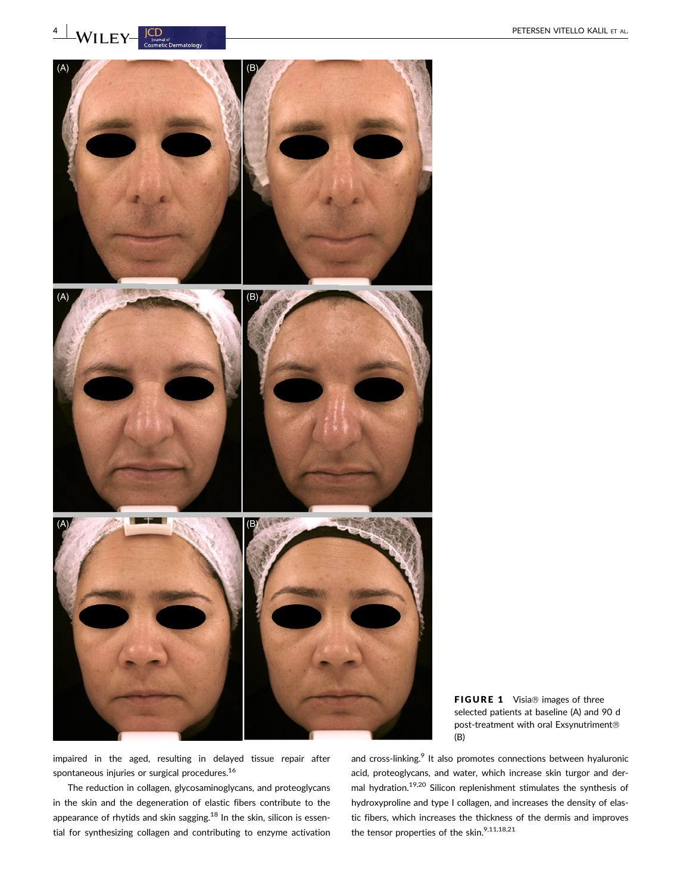**4** WILEY Counsider ALL ET AL.



FIGURE 1 Visia® images of three selected patients at baseline (A) and 90 d post-treatment with oral Exsynutriment (B)

impaired in the aged, resulting in delayed tissue repair after spontaneous injuries or surgical procedures.<sup>16</sup>

The reduction in collagen, glycosaminoglycans, and proteoglycans in the skin and the degeneration of elastic fibers contribute to the appearance of rhytids and skin sagging.<sup>18</sup> In the skin, silicon is essential for synthesizing collagen and contributing to enzyme activation

and cross-linking.<sup>9</sup> It also promotes connections between hyaluronic acid, proteoglycans, and water, which increase skin turgor and dermal hydration.19,20 Silicon replenishment stimulates the synthesis of hydroxyproline and type I collagen, and increases the density of elastic fibers, which increases the thickness of the dermis and improves the tensor properties of the skin.<sup>9,11,18,21</sup>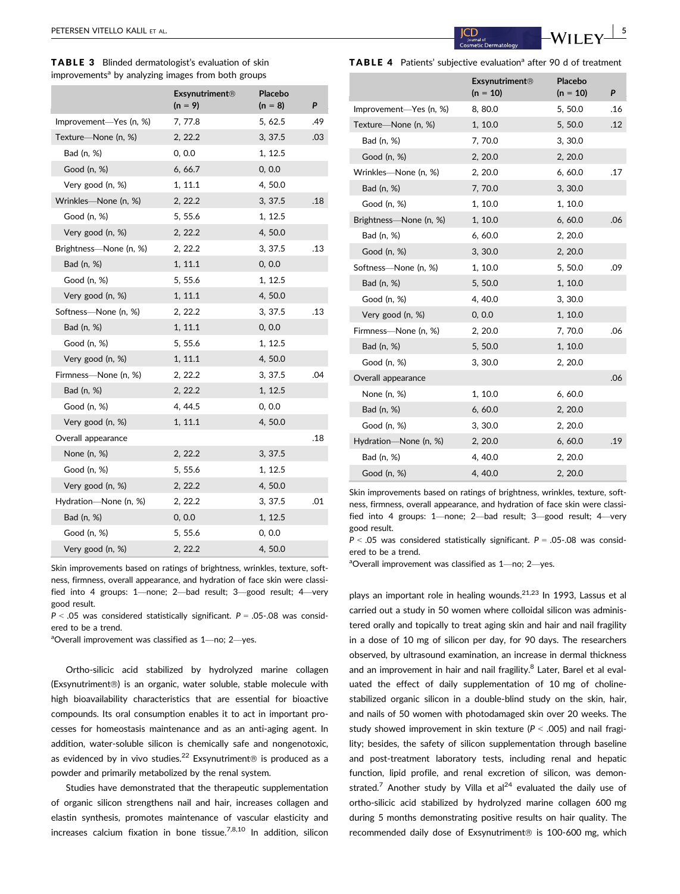TABLE 3 Blinded dermatologist's evaluation of skin improvements<sup>a</sup> by analyzing images from both groups

|                        | <b>Exsynutriment®</b><br>$(n = 9)$ | Placebo<br>$(n = 8)$ | P   |
|------------------------|------------------------------------|----------------------|-----|
| Improvement—Yes (n, %) | 7, 77.8                            | 5, 62.5              | .49 |
| Texture-None (n, %)    | 2, 22.2                            | 3, 37.5              | .03 |
| Bad (n, %)             | 0, 0.0                             | 1, 12.5              |     |
| Good (n, %)            | 6, 66.7                            | 0, 0.0               |     |
| Very good (n, %)       | 1, 11.1                            | 4,50.0               |     |
| Wrinkles-None (n, %)   | 2, 22.2                            | 3, 37.5              | .18 |
| Good (n, %)            | 5, 55.6                            | 1, 12.5              |     |
| Very good (n, %)       | 2, 22.2                            | 4,50.0               |     |
| Brightness-None (n, %) | 2, 22.2                            | 3, 37.5              | .13 |
| Bad (n, %)             | 1, 11.1                            | 0, 0.0               |     |
| Good (n, %)            | 5, 55.6                            | 1, 12.5              |     |
| Very good (n, %)       | 1, 11.1                            | 4,50.0               |     |
| Softness-None (n, %)   | 2, 22.2                            | 3, 37.5              | .13 |
| Bad (n, %)             | 1, 11.1                            | 0, 0.0               |     |
| Good (n, %)            | 5, 55.6                            | 1, 12.5              |     |
| Very good (n, %)       | 1, 11.1                            | 4,50.0               |     |
| Firmness-None (n, %)   | 2, 22.2                            | 3, 37.5              | .04 |
| Bad (n, %)             | 2, 22.2                            | 1, 12.5              |     |
| Good (n, %)            | 4, 44.5                            | 0, 0.0               |     |
| Very good (n, %)       | 1, 11.1                            | 4,50.0               |     |
| Overall appearance     |                                    |                      | .18 |
| None (n, %)            | 2, 22.2                            | 3, 37.5              |     |
| Good (n, %)            | 5, 55.6                            | 1, 12.5              |     |
| Very good (n, %)       | 2, 22.2                            | 4,50.0               |     |
| Hydration-None (n, %)  | 2, 22.2                            | 3, 37.5              | .01 |
| Bad (n, %)             | 0, 0.0                             | 1, 12.5              |     |
| Good (n, %)            | 5, 55.6                            | 0, 0.0               |     |
| Very good (n, %)       | 2, 22.2                            | 4,50.0               |     |

Skin improvements based on ratings of brightness, wrinkles, texture, softness, firmness, overall appearance, and hydration of face skin were classified into 4 groups: 1—none; 2—bad result; 3—good result; 4—very good result.

 $P < .05$  was considered statistically significant.  $P = .05-.08$  was considered to be a trend.

aOverall improvement was classified as 1-no; 2-yes.

Ortho-silicic acid stabilized by hydrolyzed marine collagen (Exsynutriment<sup>®</sup>) is an organic, water soluble, stable molecule with high bioavailability characteristics that are essential for bioactive compounds. Its oral consumption enables it to act in important processes for homeostasis maintenance and as an anti-aging agent. In addition, water-soluble silicon is chemically safe and nongenotoxic, as evidenced by in vivo studies.<sup>22</sup> Exsynutriment<sup>®</sup> is produced as a powder and primarily metabolized by the renal system.

Studies have demonstrated that the therapeutic supplementation of organic silicon strengthens nail and hair, increases collagen and elastin synthesis, promotes maintenance of vascular elasticity and increases calcium fixation in bone tissue.<sup>7,8,10</sup> In addition, silicon

| <b>Exsynutriment®</b><br>$(n = 10)$ | Placebo<br>$(n = 10)$ | P   |
|-------------------------------------|-----------------------|-----|
| 8, 80.0                             | 5, 50.0               | .16 |
| 1, 10.0                             | 5,50.0                | .12 |
| 7,70.0                              | 3, 30.0               |     |
| 2, 20.0                             | 2, 20.0               |     |
| 2, 20.0                             | 6,60.0                | .17 |
| 7,70.0                              | 3, 30.0               |     |
| 1, 10.0                             | 1, 10.0               |     |
| 1, 10.0                             | 6,60.0                | .06 |
| 6,60.0                              | 2, 20.0               |     |
| 3, 30.0                             | 2, 20.0               |     |
| 1, 10.0                             | 5, 50.0               | .09 |
| 5, 50.0                             | 1, 10.0               |     |
| 4, 40.0                             | 3, 30.0               |     |
| 0, 0.0                              | 1, 10.0               |     |
| 2, 20.0                             | 7,70.0                | .06 |
| 5, 50.0                             | 1, 10.0               |     |
| 3, 30.0                             | 2, 20.0               |     |
|                                     |                       | .06 |
| 1, 10.0                             | 6, 60.0               |     |
| 6,60.0                              | 2, 20.0               |     |
| 3, 30.0                             | 2, 20.0               |     |
| 2, 20.0                             | 6,60.0                | .19 |
| 4, 40.0                             | 2, 20.0               |     |
| 4, 40.0                             | 2, 20.0               |     |
|                                     |                       |     |

Skin improvements based on ratings of brightness, wrinkles, texture, softness, firmness, overall appearance, and hydration of face skin were classified into 4 groups: 1—none; 2—bad result; 3—good result; 4—very good result.

 $P < .05$  was considered statistically significant.  $P = .05-.08$  was considered to be a trend.

aOverall improvement was classified as 1-no; 2-yes.

plays an important role in healing wounds. $21,23$  In 1993, Lassus et al carried out a study in 50 women where colloidal silicon was administered orally and topically to treat aging skin and hair and nail fragility in a dose of 10 mg of silicon per day, for 90 days. The researchers observed, by ultrasound examination, an increase in dermal thickness and an improvement in hair and nail fragility.<sup>8</sup> Later, Barel et al evaluated the effect of daily supplementation of 10 mg of cholinestabilized organic silicon in a double-blind study on the skin, hair, and nails of 50 women with photodamaged skin over 20 weeks. The study showed improvement in skin texture ( $P < .005$ ) and nail fragility; besides, the safety of silicon supplementation through baseline and post-treatment laboratory tests, including renal and hepatic function, lipid profile, and renal excretion of silicon, was demonstrated.<sup>7</sup> Another study by Villa et al<sup>24</sup> evaluated the daily use of ortho-silicic acid stabilized by hydrolyzed marine collagen 600 mg during 5 months demonstrating positive results on hair quality. The recommended daily dose of Exsynutriment $@$  is 100-600 mg, which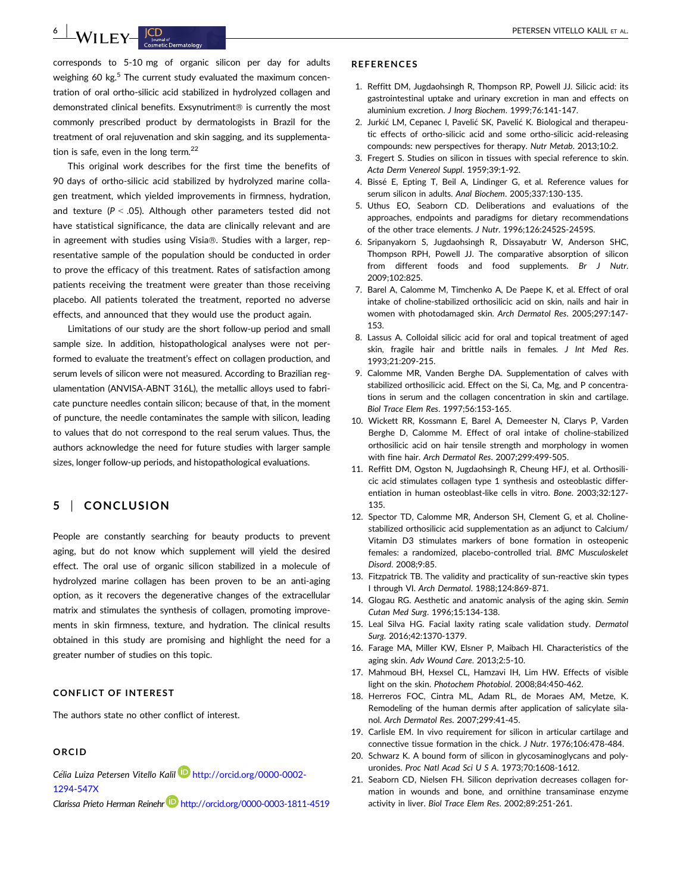$\frac{6}{100}$  PETERSEN VITELLO KALIL ET AL.

corresponds to 5-10 mg of organic silicon per day for adults weighing 60 kg.<sup>5</sup> The current study evaluated the maximum concentration of oral ortho-silicic acid stabilized in hydrolyzed collagen and demonstrated clinical benefits. Exsynutriment<sup>®</sup> is currently the most commonly prescribed product by dermatologists in Brazil for the treatment of oral rejuvenation and skin sagging, and its supplementation is safe, even in the long term. $^{22}$ 

This original work describes for the first time the benefits of 90 days of ortho-silicic acid stabilized by hydrolyzed marine collagen treatment, which yielded improvements in firmness, hydration, and texture ( $P < .05$ ). Although other parameters tested did not have statistical significance, the data are clinically relevant and are in agreement with studies using Visia®. Studies with a larger, representative sample of the population should be conducted in order to prove the efficacy of this treatment. Rates of satisfaction among patients receiving the treatment were greater than those receiving placebo. All patients tolerated the treatment, reported no adverse effects, and announced that they would use the product again.

Limitations of our study are the short follow-up period and small sample size. In addition, histopathological analyses were not performed to evaluate the treatment's effect on collagen production, and serum levels of silicon were not measured. According to Brazilian regulamentation (ANVISA-ABNT 316L), the metallic alloys used to fabricate puncture needles contain silicon; because of that, in the moment of puncture, the needle contaminates the sample with silicon, leading to values that do not correspond to the real serum values. Thus, the authors acknowledge the need for future studies with larger sample sizes, longer follow-up periods, and histopathological evaluations.

# 5 | CONCLUSION

People are constantly searching for beauty products to prevent aging, but do not know which supplement will yield the desired effect. The oral use of organic silicon stabilized in a molecule of hydrolyzed marine collagen has been proven to be an anti-aging option, as it recovers the degenerative changes of the extracellular matrix and stimulates the synthesis of collagen, promoting improvements in skin firmness, texture, and hydration. The clinical results obtained in this study are promising and highlight the need for a greater number of studies on this topic.

## CONFLICT OF INTEREST

The authors state no other conflict of interest.

## ORCID

Célia Luiza Petersen Vitello Kalil **D**http://orcid.org/0000-0002-1294-547X

Clarissa Prieto Herman Reinehr http://orcid.org/0000-0003-1811-4519

#### REFERENCES

- 1. Reffitt DM, Jugdaohsingh R, Thompson RP, Powell JJ. Silicic acid: its gastrointestinal uptake and urinary excretion in man and effects on aluminium excretion. J Inorg Biochem. 1999;76:141-147.
- 2. Jurkić LM, Cepanec J, Pavelić SK, Pavelić K, Biological and therapeutic effects of ortho-silicic acid and some ortho-silicic acid-releasing compounds: new perspectives for therapy. Nutr Metab. 2013;10:2.
- 3. Fregert S. Studies on silicon in tissues with special reference to skin. Acta Derm Venereol Suppl. 1959;39:1-92.
- 4. Bissé E, Epting T, Beil A, Lindinger G, et al. Reference values for serum silicon in adults. Anal Biochem. 2005;337:130-135.
- 5. Uthus EO, Seaborn CD. Deliberations and evaluations of the approaches, endpoints and paradigms for dietary recommendations of the other trace elements. J Nutr. 1996;126:2452S-2459S.
- 6. Sripanyakorn S, Jugdaohsingh R, Dissayabutr W, Anderson SHC, Thompson RPH, Powell JJ. The comparative absorption of silicon from different foods and food supplements. Br J Nutr. 2009;102:825.
- 7. Barel A, Calomme M, Timchenko A, De Paepe K, et al. Effect of oral intake of choline-stabilized orthosilicic acid on skin, nails and hair in women with photodamaged skin. Arch Dermatol Res. 2005;297:147- 153.
- 8. Lassus A. Colloidal silicic acid for oral and topical treatment of aged skin, fragile hair and brittle nails in females. J Int Med Res. 1993;21:209-215.
- 9. Calomme MR, Vanden Berghe DA. Supplementation of calves with stabilized orthosilicic acid. Effect on the Si, Ca, Mg, and P concentrations in serum and the collagen concentration in skin and cartilage. Biol Trace Elem Res. 1997;56:153-165.
- 10. Wickett RR, Kossmann E, Barel A, Demeester N, Clarys P, Varden Berghe D, Calomme M. Effect of oral intake of choline-stabilized orthosilicic acid on hair tensile strength and morphology in women with fine hair. Arch Dermatol Res. 2007;299:499-505.
- 11. Reffitt DM, Ogston N, Jugdaohsingh R, Cheung HFJ, et al. Orthosilicic acid stimulates collagen type 1 synthesis and osteoblastic differentiation in human osteoblast-like cells in vitro. Bone. 2003;32:127- 135.
- 12. Spector TD, Calomme MR, Anderson SH, Clement G, et al. Cholinestabilized orthosilicic acid supplementation as an adjunct to Calcium/ Vitamin D3 stimulates markers of bone formation in osteopenic females: a randomized, placebo-controlled trial. BMC Musculoskelet Disord. 2008;9:85.
- 13. Fitzpatrick TB. The validity and practicality of sun-reactive skin types I through VI. Arch Dermatol. 1988;124:869-871.
- 14. Glogau RG. Aesthetic and anatomic analysis of the aging skin. Semin Cutan Med Surg. 1996;15:134-138.
- 15. Leal Silva HG. Facial laxity rating scale validation study. Dermatol Surg. 2016;42:1370-1379.
- 16. Farage MA, Miller KW, Elsner P, Maibach HI. Characteristics of the aging skin. Adv Wound Care. 2013;2:5-10.
- 17. Mahmoud BH, Hexsel CL, Hamzavi IH, Lim HW. Effects of visible light on the skin. Photochem Photobiol. 2008;84:450-462.
- 18. Herreros FOC, Cintra ML, Adam RL, de Moraes AM, Metze, K. Remodeling of the human dermis after application of salicylate silanol. Arch Dermatol Res. 2007;299:41-45.
- 19. Carlisle EM. In vivo requirement for silicon in articular cartilage and connective tissue formation in the chick. J Nutr. 1976;106:478-484.
- 20. Schwarz K. A bound form of silicon in glycosaminoglycans and polyuronides. Proc Natl Acad Sci U S A. 1973;70:1608-1612.
- 21. Seaborn CD, Nielsen FH. Silicon deprivation decreases collagen formation in wounds and bone, and ornithine transaminase enzyme activity in liver. Biol Trace Elem Res. 2002;89:251-261.